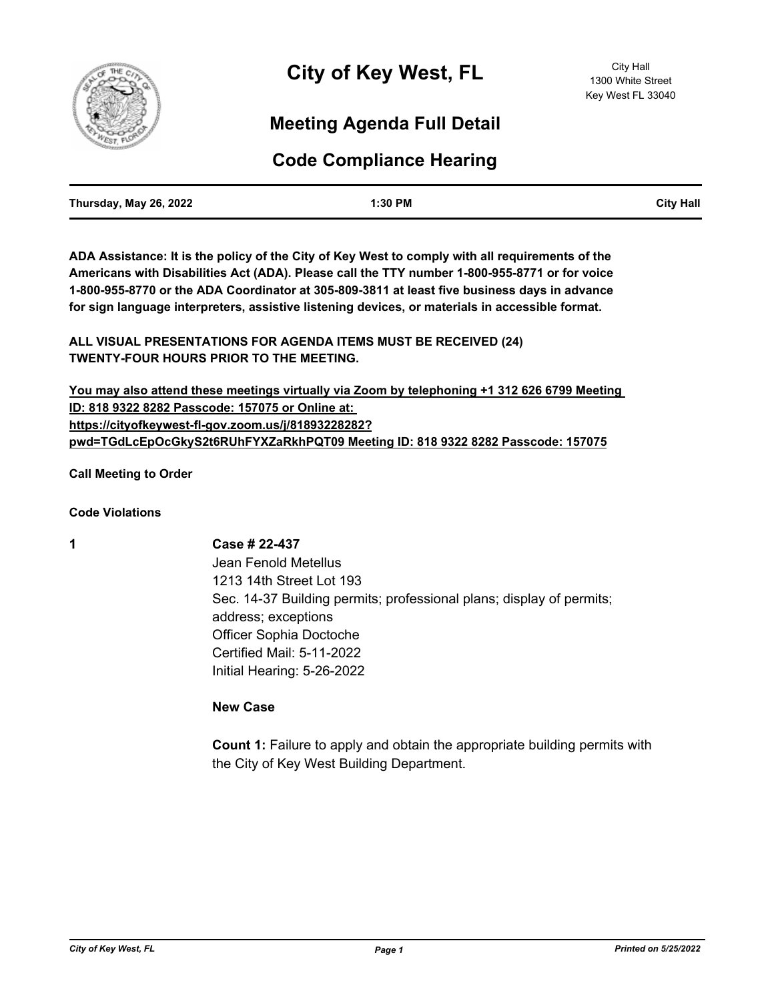

# **Meeting Agenda Full Detail**

# **Code Compliance Hearing**

| Thursday, May 26, 2022 | 1:30 PM | <b>City Hall</b> |
|------------------------|---------|------------------|
|                        |         |                  |

**ADA Assistance: It is the policy of the City of Key West to comply with all requirements of the Americans with Disabilities Act (ADA). Please call the TTY number 1-800-955-8771 or for voice 1-800-955-8770 or the ADA Coordinator at 305-809-3811 at least five business days in advance for sign language interpreters, assistive listening devices, or materials in accessible format.**

**ALL VISUAL PRESENTATIONS FOR AGENDA ITEMS MUST BE RECEIVED (24) TWENTY-FOUR HOURS PRIOR TO THE MEETING.**

**You may also attend these meetings virtually via Zoom by telephoning +1 312 626 6799 Meeting ID: 818 9322 8282 Passcode: 157075 or Online at: https://cityofkeywest-fl-gov.zoom.us/j/81893228282? pwd=TGdLcEpOcGkyS2t6RUhFYXZaRkhPQT09 Meeting ID: 818 9322 8282 Passcode: 157075**

**Call Meeting to Order**

**Code Violations**

**1 Case # 22-437** Jean Fenold Metellus 1213 14th Street Lot 193 Sec. 14-37 Building permits; professional plans; display of permits; address; exceptions Officer Sophia Doctoche Certified Mail: 5-11-2022 Initial Hearing: 5-26-2022

**New Case**

**Count 1:** Failure to apply and obtain the appropriate building permits with the City of Key West Building Department.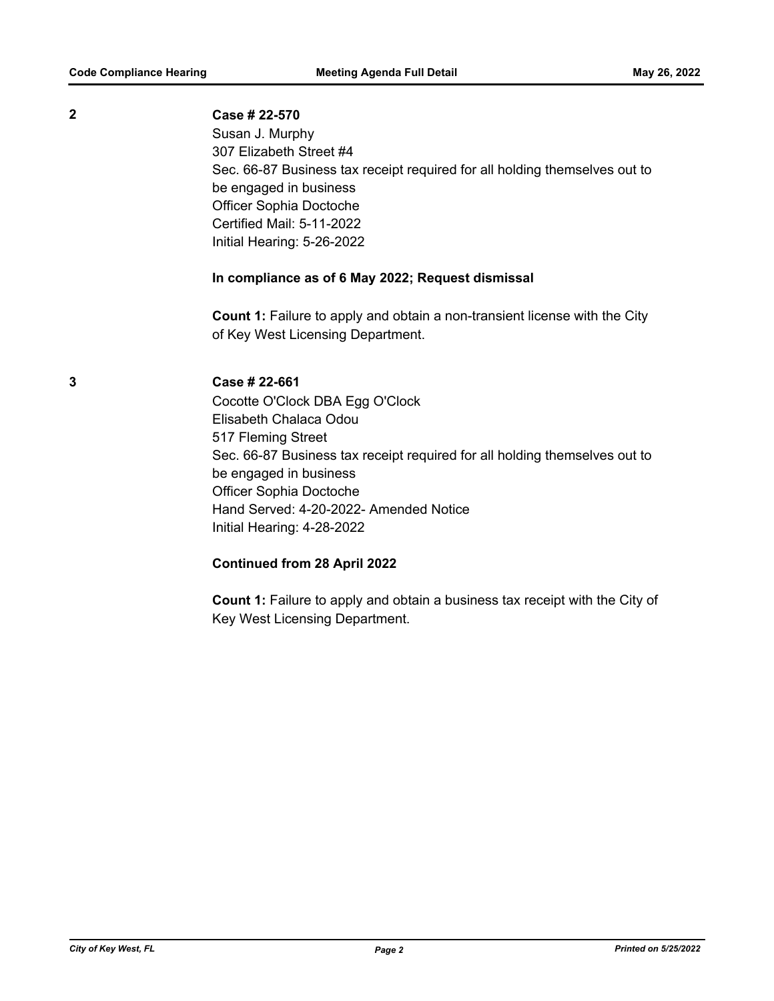Susan J. Murphy 307 Elizabeth Street #4 Sec. 66-87 Business tax receipt required for all holding themselves out to be engaged in business Officer Sophia Doctoche Certified Mail: 5-11-2022 Initial Hearing: 5-26-2022

# **In compliance as of 6 May 2022; Request dismissal**

**Count 1:** Failure to apply and obtain a non-transient license with the City of Key West Licensing Department.

## **3 Case # 22-661**

Cocotte O'Clock DBA Egg O'Clock Elisabeth Chalaca Odou 517 Fleming Street Sec. 66-87 Business tax receipt required for all holding themselves out to be engaged in business Officer Sophia Doctoche Hand Served: 4-20-2022- Amended Notice Initial Hearing: 4-28-2022

### **Continued from 28 April 2022**

**Count 1:** Failure to apply and obtain a business tax receipt with the City of Key West Licensing Department.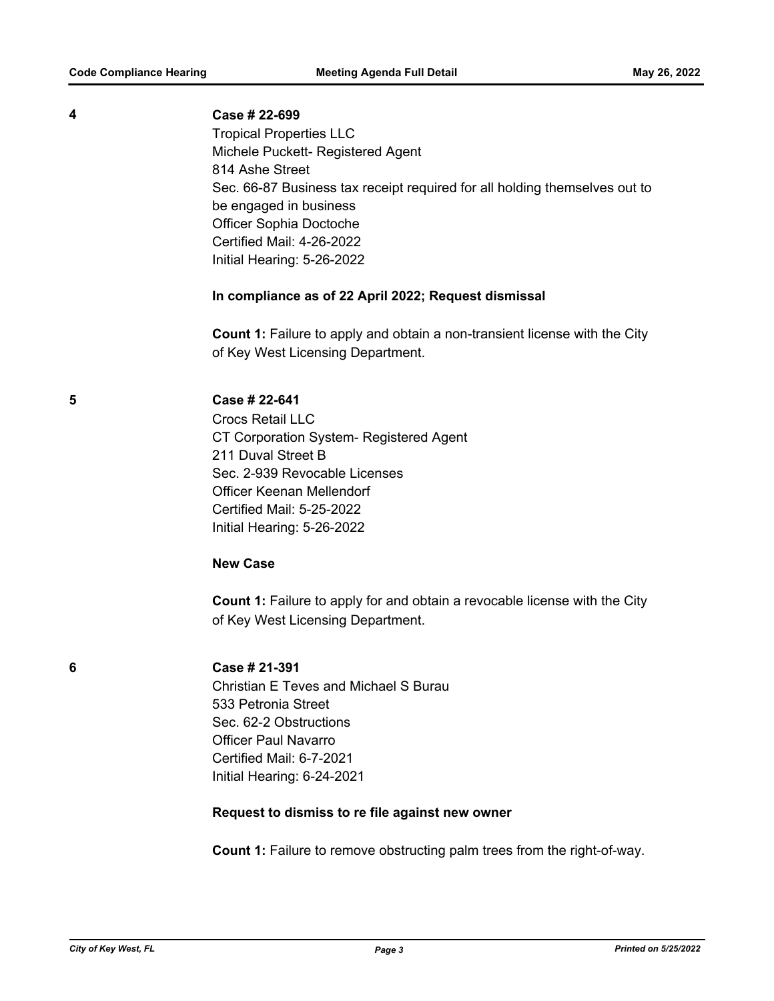| 4 | Case # 22-699<br><b>Tropical Properties LLC</b><br>Michele Puckett- Registered Agent<br>814 Ashe Street<br>Sec. 66-87 Business tax receipt required for all holding themselves out to<br>be engaged in business<br>Officer Sophia Doctoche<br>Certified Mail: 4-26-2022<br>Initial Hearing: 5-26-2022 |
|---|-------------------------------------------------------------------------------------------------------------------------------------------------------------------------------------------------------------------------------------------------------------------------------------------------------|
|   | In compliance as of 22 April 2022; Request dismissal                                                                                                                                                                                                                                                  |
|   | <b>Count 1:</b> Failure to apply and obtain a non-transient license with the City<br>of Key West Licensing Department.                                                                                                                                                                                |
| 5 | Case # 22-641<br><b>Crocs Retail LLC</b><br>CT Corporation System- Registered Agent<br>211 Duval Street B<br>Sec. 2-939 Revocable Licenses<br><b>Officer Keenan Mellendorf</b><br><b>Certified Mail: 5-25-2022</b><br>Initial Hearing: 5-26-2022                                                      |
|   | <b>New Case</b>                                                                                                                                                                                                                                                                                       |
|   | Count 1: Failure to apply for and obtain a revocable license with the City<br>of Key West Licensing Department.                                                                                                                                                                                       |
| 6 | Case # 21-391<br><b>Christian E Teves and Michael S Burau</b><br>533 Petronia Street<br>Sec. 62-2 Obstructions<br><b>Officer Paul Navarro</b><br>Certified Mail: 6-7-2021<br>Initial Hearing: 6-24-2021                                                                                               |
|   | Request to dismiss to re file against new owner                                                                                                                                                                                                                                                       |
|   | <b>Count 1:</b> Failure to remove obstructing palm trees from the right-of-way.                                                                                                                                                                                                                       |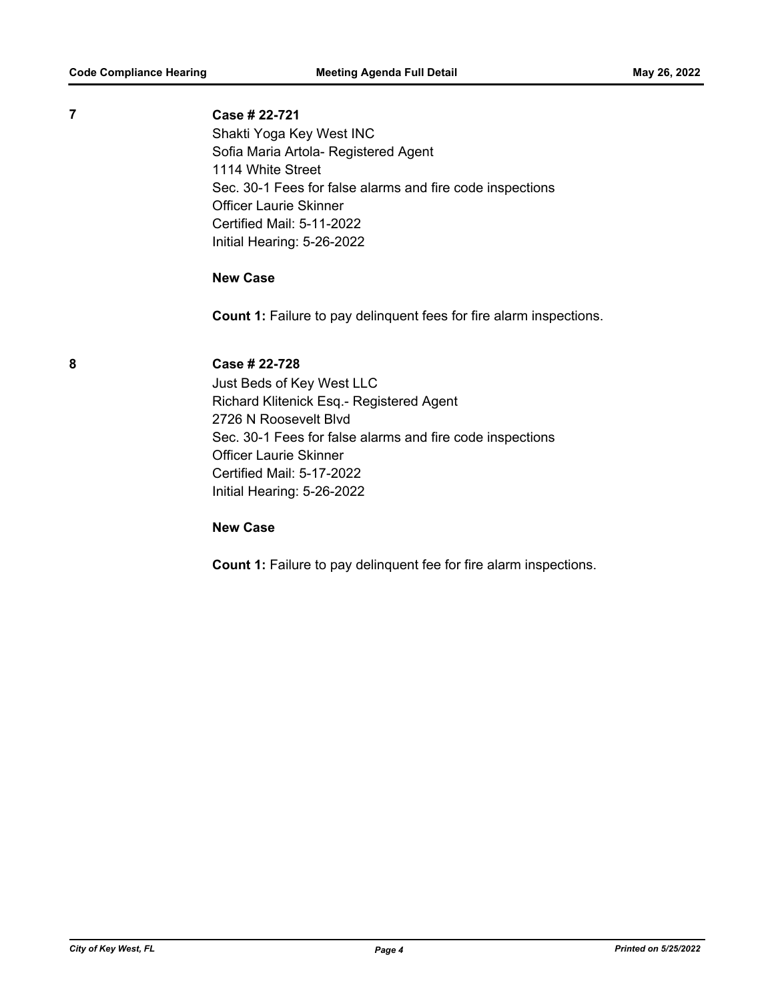Shakti Yoga Key West INC Sofia Maria Artola- Registered Agent 1114 White Street Sec. 30-1 Fees for false alarms and fire code inspections Officer Laurie Skinner Certified Mail: 5-11-2022 Initial Hearing: 5-26-2022

# **New Case**

**Count 1:** Failure to pay delinquent fees for fire alarm inspections.

**8 Case # 22-728**

Just Beds of Key West LLC Richard Klitenick Esq.- Registered Agent 2726 N Roosevelt Blvd Sec. 30-1 Fees for false alarms and fire code inspections Officer Laurie Skinner Certified Mail: 5-17-2022 Initial Hearing: 5-26-2022

# **New Case**

**Count 1:** Failure to pay delinquent fee for fire alarm inspections.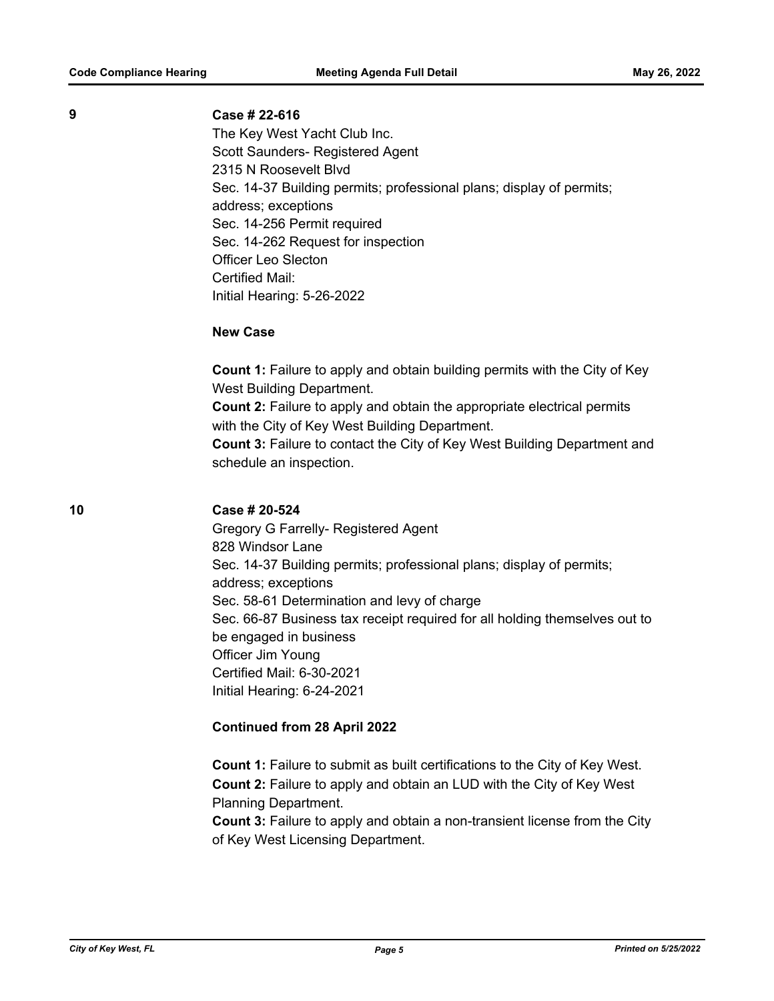The Key West Yacht Club Inc. Scott Saunders- Registered Agent 2315 N Roosevelt Blvd Sec. 14-37 Building permits; professional plans; display of permits; address; exceptions Sec. 14-256 Permit required Sec. 14-262 Request for inspection Officer Leo Slecton Certified Mail: Initial Hearing: 5-26-2022

### **New Case**

**Count 1:** Failure to apply and obtain building permits with the City of Key West Building Department. **Count 2:** Failure to apply and obtain the appropriate electrical permits with the City of Key West Building Department.

**Count 3:** Failure to contact the City of Key West Building Department and schedule an inspection.

# **10 Case # 20-524**

Gregory G Farrelly- Registered Agent 828 Windsor Lane Sec. 14-37 Building permits; professional plans; display of permits; address; exceptions Sec. 58-61 Determination and levy of charge Sec. 66-87 Business tax receipt required for all holding themselves out to be engaged in business Officer Jim Young Certified Mail: 6-30-2021 Initial Hearing: 6-24-2021

# **Continued from 28 April 2022**

**Count 1:** Failure to submit as built certifications to the City of Key West. **Count 2:** Failure to apply and obtain an LUD with the City of Key West Planning Department.

**Count 3:** Failure to apply and obtain a non-transient license from the City of Key West Licensing Department.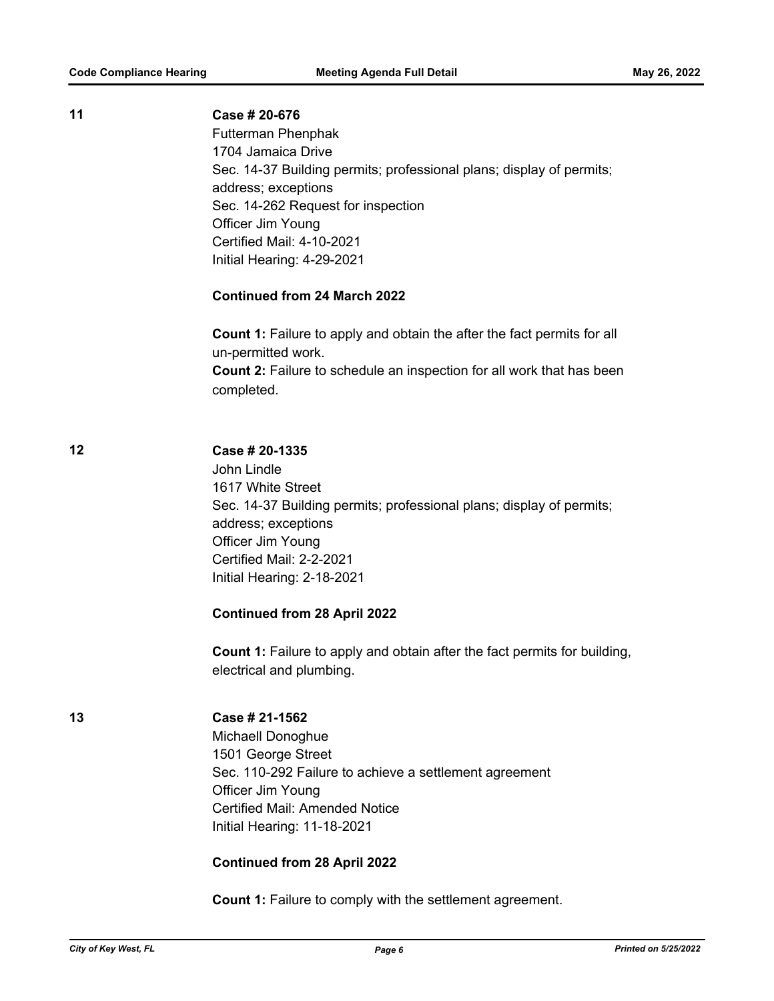# **11 Case # 20-676**

Futterman Phenphak 1704 Jamaica Drive Sec. 14-37 Building permits; professional plans; display of permits; address; exceptions Sec. 14-262 Request for inspection Officer Jim Young Certified Mail: 4-10-2021 Initial Hearing: 4-29-2021

# **Continued from 24 March 2022**

**Count 1:** Failure to apply and obtain the after the fact permits for all un-permitted work. **Count 2:** Failure to schedule an inspection for all work that has been completed.

### **12 Case # 20-1335**

John Lindle 1617 White Street Sec. 14-37 Building permits; professional plans; display of permits; address; exceptions Officer Jim Young Certified Mail: 2-2-2021 Initial Hearing: 2-18-2021

### **Continued from 28 April 2022**

**Count 1:** Failure to apply and obtain after the fact permits for building, electrical and plumbing.

# **13 Case # 21-1562**

Michaell Donoghue 1501 George Street Sec. 110-292 Failure to achieve a settlement agreement Officer Jim Young Certified Mail: Amended Notice Initial Hearing: 11-18-2021

# **Continued from 28 April 2022**

**Count 1:** Failure to comply with the settlement agreement.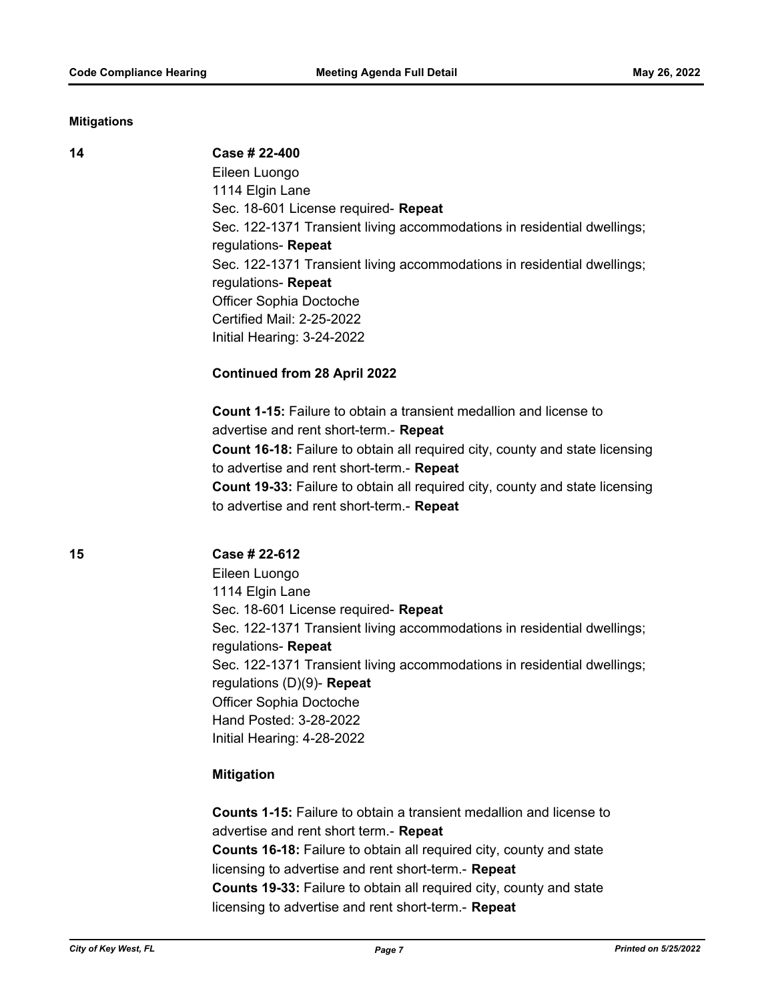#### **Mitigations**

#### **14 Case # 22-400**

Eileen Luongo 1114 Elgin Lane Sec. 18-601 License required- **Repeat** Sec. 122-1371 Transient living accommodations in residential dwellings; regulations- **Repeat** Sec. 122-1371 Transient living accommodations in residential dwellings; regulations- **Repeat** Officer Sophia Doctoche Certified Mail: 2-25-2022 Initial Hearing: 3-24-2022

# **Continued from 28 April 2022**

**Count 1-15:** Failure to obtain a transient medallion and license to advertise and rent short-term.- **Repeat Count 16-18:** Failure to obtain all required city, county and state licensing to advertise and rent short-term.- **Repeat Count 19-33:** Failure to obtain all required city, county and state licensing to advertise and rent short-term.- **Repeat**

### **15 Case # 22-612**

Eileen Luongo 1114 Elgin Lane Sec. 18-601 License required- **Repeat** Sec. 122-1371 Transient living accommodations in residential dwellings; regulations- **Repeat** Sec. 122-1371 Transient living accommodations in residential dwellings; regulations (D)(9)- **Repeat** Officer Sophia Doctoche Hand Posted: 3-28-2022 Initial Hearing: 4-28-2022

### **Mitigation**

**Counts 1-15:** Failure to obtain a transient medallion and license to advertise and rent short term.- **Repeat Counts 16-18:** Failure to obtain all required city, county and state licensing to advertise and rent short-term.- **Repeat Counts 19-33:** Failure to obtain all required city, county and state licensing to advertise and rent short-term.- **Repeat**